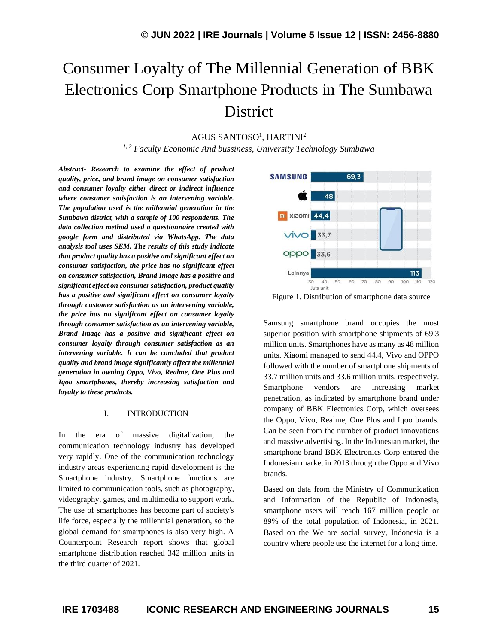# Consumer Loyalty of The Millennial Generation of BBK Electronics Corp Smartphone Products in The Sumbawa **District**

AGUS SANTOSO<sup>1</sup>, HARTINI<sup>2</sup>

*1, 2 Faculty Economic And bussiness, University Technology Sumbawa*

*Abstract- Research to examine the effect of product quality, price, and brand image on consumer satisfaction and consumer loyalty either direct or indirect influence where consumer satisfaction is an intervening variable. The population used is the millennial generation in the Sumbawa district, with a sample of 100 respondents. The data collection method used a questionnaire created with google form and distributed via WhatsApp. The data analysis tool uses SEM. The results of this study indicate that product quality has a positive and significant effect on consumer satisfaction, the price has no significant effect on consumer satisfaction, Brand Image has a positive and significant effect on consumer satisfaction, product quality has a positive and significant effect on consumer loyalty through customer satisfaction as an intervening variable, the price has no significant effect on consumer loyalty through consumer satisfaction as an intervening variable, Brand Image has a positive and significant effect on consumer loyalty through consumer satisfaction as an intervening variable. It can be concluded that product quality and brand image significantly affect the millennial generation in owning Oppo, Vivo, Realme, One Plus and Iqoo smartphones, thereby increasing satisfaction and loyalty to these products.*

#### I. INTRODUCTION

In the era of massive digitalization, the communication technology industry has developed very rapidly. One of the communication technology industry areas experiencing rapid development is the Smartphone industry. Smartphone functions are limited to communication tools, such as photography, videography, games, and multimedia to support work. The use of smartphones has become part of society's life force, especially the millennial generation, so the global demand for smartphones is also very high. A Counterpoint Research report shows that global smartphone distribution reached 342 million units in the third quarter of 2021.



Figure 1. Distribution of smartphone data source

Samsung smartphone brand occupies the most superior position with smartphone shipments of 69.3 million units. Smartphones have as many as 48 million units. Xiaomi managed to send 44.4, Vivo and OPPO followed with the number of smartphone shipments of 33.7 million units and 33.6 million units, respectively. Smartphone vendors are increasing market penetration, as indicated by smartphone brand under company of BBK Electronics Corp, which oversees the Oppo, Vivo, Realme, One Plus and Iqoo brands. Can be seen from the number of product innovations and massive advertising. In the Indonesian market, the smartphone brand BBK Electronics Corp entered the Indonesian market in 2013 through the Oppo and Vivo brands.

Based on data from the Ministry of Communication and Information of the Republic of Indonesia, smartphone users will reach 167 million people or 89% of the total population of Indonesia, in 2021. Based on the We are social survey, Indonesia is a country where people use the internet for a long time.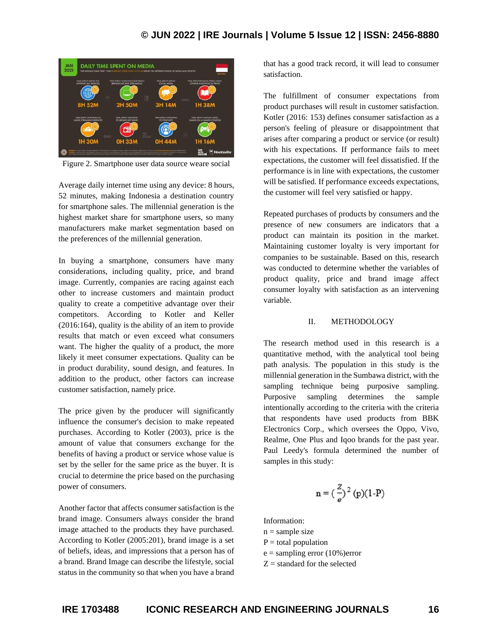# **© JUN 2022 | IRE Journals | Volume 5 Issue 12 | ISSN: 2456-8880**



Figure 2. Smartphone user data source weare social

Average daily internet time using any device: 8 hours, 52 minutes, making Indonesia a destination country for smartphone sales. The millennial generation is the highest market share for smartphone users, so many manufacturers make market segmentation based on the preferences of the millennial generation.

In buying a smartphone, consumers have many considerations, including quality, price, and brand image. Currently, companies are racing against each other to increase customers and maintain product quality to create a competitive advantage over their competitors. According to Kotler and Keller (2016:164), quality is the ability of an item to provide results that match or even exceed what consumers want. The higher the quality of a product, the more likely it meet consumer expectations. Quality can be in product durability, sound design, and features. In addition to the product, other factors can increase customer satisfaction, namely price.

The price given by the producer will significantly influence the consumer's decision to make repeated purchases. According to Kotler (2003), price is the amount of value that consumers exchange for the benefits of having a product or service whose value is set by the seller for the same price as the buyer. It is crucial to determine the price based on the purchasing power of consumers.

Another factor that affects consumer satisfaction is the brand image. Consumers always consider the brand image attached to the products they have purchased. According to Kotler (2005:201), brand image is a set of beliefs, ideas, and impressions that a person has of a brand. Brand Image can describe the lifestyle, social status in the community so that when you have a brand that has a good track record, it will lead to consumer satisfaction.

The fulfillment of consumer expectations from product purchases will result in customer satisfaction. Kotler (2016: 153) defines consumer satisfaction as a person's feeling of pleasure or disappointment that arises after comparing a product or service (or result) with his expectations. If performance fails to meet expectations, the customer will feel dissatisfied. If the performance is in line with expectations, the customer will be satisfied. If performance exceeds expectations, the customer will feel very satisfied or happy.

Repeated purchases of products by consumers and the presence of new consumers are indicators that a product can maintain its position in the market. Maintaining customer loyalty is very important for companies to be sustainable. Based on this, research was conducted to determine whether the variables of product quality, price and brand image affect consumer loyalty with satisfaction as an intervening variable.

#### II. METHODOLOGY

The research method used in this research is a quantitative method, with the analytical tool being path analysis. The population in this study is the millennial generation in the Sumbawa district, with the sampling technique being purposive sampling. Purposive sampling determines the sample intentionally according to the criteria with the criteria that respondents have used products from BBK Electronics Corp., which oversees the Oppo, Vivo, Realme, One Plus and Iqoo brands for the past year. Paul Leedy's formula determined the number of samples in this study:

$$
n = (\frac{z}{e})^2 (p)(1-P)
$$

Information:

 $n =$ sample size

 $P =$  total population

 $e =$  sampling error (10%)error

 $Z =$  standard for the selected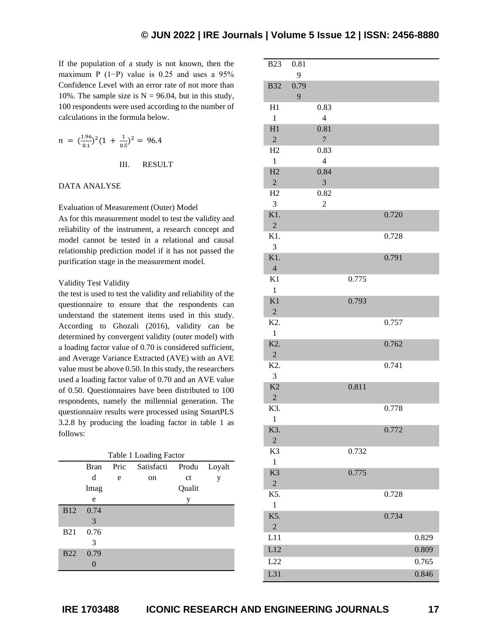If the population of a study is not known, then the maximum P (1−P) value is 0.25 and uses a 95% Confidence Level with an error rate of not more than 10%. The sample size is  $N = 96.04$ , but in this study, 100 respondents were used according to the number of calculations in the formula below*.*

$$
n = \left(\frac{1.96}{0.1}\right)^2 \left(1 + \frac{1}{0.5}\right)^2 = 96.4
$$

III. RESULT

#### DATA ANALYSE

#### Evaluation of Measurement (Outer) Model

As for this measurement model to test the validity and reliability of the instrument, a research concept and model cannot be tested in a relational and causal relationship prediction model if it has not passed the purification stage in the measurement model.

#### Validity Test Validity

the test is used to test the validity and reliability of the questionnaire to ensure that the respondents can understand the statement items used in this study. According to Ghozali (2016), validity can be determined by convergent validity (outer model) with a loading factor value of 0.70 is considered sufficient, and Average Variance Extracted (AVE) with an AVE value must be above 0.50. In this study, the researchers used a loading factor value of 0.70 and an AVE value of 0.50. Questionnaires have been distributed to 100 respondents, namely the millennial generation. The questionnaire results were processed using SmartPLS 3.2.8 by producing the loading factor in table 1 as follows:

| Table 1 Loading Factor |             |        |    |        |   |  |  |
|------------------------|-------------|--------|----|--------|---|--|--|
|                        | <b>Bran</b> | Loyalt |    |        |   |  |  |
|                        | d           | e      | on | ct     | у |  |  |
|                        | Imag        |        |    | Qualit |   |  |  |
|                        | e           |        |    | у      |   |  |  |
| <b>B12</b>             | 0.74        |        |    |        |   |  |  |
|                        | 3           |        |    |        |   |  |  |
| <b>B21</b>             | 0.76        |        |    |        |   |  |  |
|                        | 3           |        |    |        |   |  |  |
| <b>B22</b>             | 0.79        |        |    |        |   |  |  |
|                        |             |        |    |        |   |  |  |

| <b>B23</b>       | 0.81 |                          |       |       |       |
|------------------|------|--------------------------|-------|-------|-------|
|                  | 9    |                          |       |       |       |
| <b>B32</b>       | 0.79 |                          |       |       |       |
|                  | 9    |                          |       |       |       |
| H1               |      | 0.83                     |       |       |       |
| $\mathbf{1}$     |      | $\overline{\mathcal{L}}$ |       |       |       |
| H1               |      | 0.81                     |       |       |       |
| $\sqrt{2}$       |      | $\overline{7}$           |       |       |       |
| H2               |      | 0.83                     |       |       |       |
| $\mathbf{1}$     |      | $\overline{4}$           |       |       |       |
| H2               |      | 0.84                     |       |       |       |
| $\overline{2}$   |      | 3                        |       |       |       |
| H2               |      | 0.82                     |       |       |       |
| 3                |      |                          |       |       |       |
|                  |      | $\overline{c}$           |       |       |       |
| K1.              |      |                          |       | 0.720 |       |
| $\overline{2}$   |      |                          |       |       |       |
| K1.              |      |                          |       | 0.728 |       |
| 3                |      |                          |       |       |       |
| K1.              |      |                          |       | 0.791 |       |
| $\overline{4}$   |      |                          |       |       |       |
| K1               |      |                          | 0.775 |       |       |
| $\mathbf{1}$     |      |                          |       |       |       |
| K1               |      |                          | 0.793 |       |       |
| $\sqrt{2}$       |      |                          |       |       |       |
| K2.              |      |                          |       | 0.757 |       |
| $\mathbf{1}$     |      |                          |       |       |       |
| K <sub>2</sub> . |      |                          |       | 0.762 |       |
| $\sqrt{2}$       |      |                          |       |       |       |
| K2.              |      |                          |       | 0.741 |       |
| 3                |      |                          |       |       |       |
| K2               |      |                          | 0.811 |       |       |
| $\overline{2}$   |      |                          |       |       |       |
| K3.              |      |                          |       | 0.778 |       |
| $\mathbf{1}$     |      |                          |       |       |       |
| K3.              |      |                          |       | 0.772 |       |
| $\overline{2}$   |      |                          |       |       |       |
| K <sub>3</sub>   |      |                          | 0.732 |       |       |
| $\mathbf{1}$     |      |                          |       |       |       |
| K <sub>3</sub>   |      |                          | 0.775 |       |       |
| $\sqrt{2}$       |      |                          |       |       |       |
| K5.              |      |                          |       | 0.728 |       |
| $\mathbf{1}$     |      |                          |       |       |       |
| K5.              |      |                          |       | 0.734 |       |
| $\sqrt{2}$       |      |                          |       |       |       |
| L11              |      |                          |       |       | 0.829 |
| L12              |      |                          |       |       | 0.809 |
| L22              |      |                          |       |       | 0.765 |
|                  |      |                          |       |       |       |
| L31              |      |                          |       |       | 0.846 |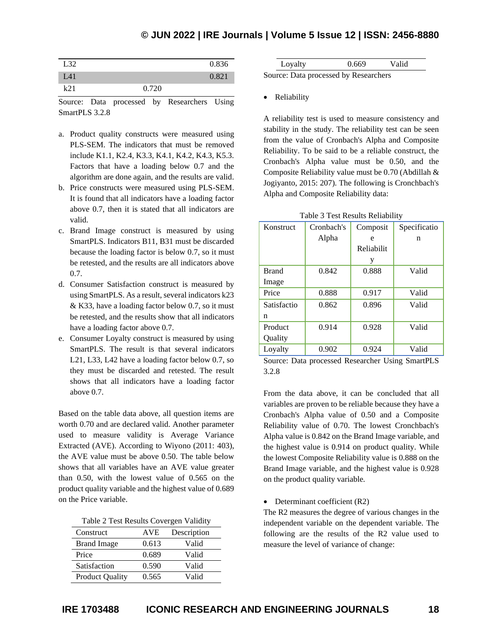# **© JUN 2022 | IRE Journals | Volume 5 Issue 12 | ISSN: 2456-8880**

| L32             |       | 0.836 |
|-----------------|-------|-------|
| L <sub>41</sub> |       | 0.821 |
| $k$ 21          | 0.720 |       |
|                 |       |       |

Source: Data processed by Researchers Using SmartPLS 3.2.8

- a. Product quality constructs were measured using PLS-SEM. The indicators that must be removed include K1.1, K2.4, K3.3, K4.1, K4.2, K4.3, K5.3. Factors that have a loading below 0.7 and the algorithm are done again, and the results are valid.
- b. Price constructs were measured using PLS-SEM. It is found that all indicators have a loading factor above 0.7, then it is stated that all indicators are valid.
- c. Brand Image construct is measured by using SmartPLS. Indicators B11, B31 must be discarded because the loading factor is below 0.7, so it must be retested, and the results are all indicators above 0.7.
- d. Consumer Satisfaction construct is measured by using SmartPLS. As a result, several indicators k23 & K33, have a loading factor below 0.7, so it must be retested, and the results show that all indicators have a loading factor above 0.7.
- e. Consumer Loyalty construct is measured by using SmartPLS. The result is that several indicators L21, L33, L42 have a loading factor below 0.7, so they must be discarded and retested. The result shows that all indicators have a loading factor above 0.7.

Based on the table data above, all question items are worth 0.70 and are declared valid. Another parameter used to measure validity is Average Variance Extracted (AVE). According to Wiyono (2011: 403), the AVE value must be above 0.50. The table below shows that all variables have an AVE value greater than 0.50, with the lowest value of 0.565 on the product quality variable and the highest value of 0.689 on the Price variable.

| Table 2 Test Results Covergen Validity |  |  |
|----------------------------------------|--|--|
|----------------------------------------|--|--|

| Construct              | AVE.  | Description |
|------------------------|-------|-------------|
| <b>Brand Image</b>     | 0.613 | Valid       |
| Price                  | 0.689 | Valid       |
| Satisfaction           | 0.590 | Valid       |
| <b>Product Quality</b> | 0.565 | Valid       |

| Loyalty                               |  |
|---------------------------------------|--|
| laureg: Data processed by Researchers |  |

Source: Data processed by Researchers

• Reliability

A reliability test is used to measure consistency and stability in the study. The reliability test can be seen from the value of Cronbach's Alpha and Composite Reliability. To be said to be a reliable construct, the Cronbach's Alpha value must be 0.50, and the Composite Reliability value must be 0.70 (Abdillah & Jogiyanto, 2015: 207). The following is Cronchbach's Alpha and Composite Reliability data:

| Konstruct    | Cronbach's | Composit   | Specificatio |
|--------------|------------|------------|--------------|
|              | Alpha      | e          | n            |
|              |            | Reliabilit |              |
|              |            | y          |              |
| <b>Brand</b> | 0.842      | 0.888      | Valid        |
| Image        |            |            |              |
| Price        | 0.888      | 0.917      | Valid        |
| Satisfactio  | 0.862      | 0.896      | Valid        |
| n            |            |            |              |
| Product      | 0.914      | 0.928      | Valid        |
| Quality      |            |            |              |
| Lovalty      | 0.902      | 0.924      | Valid        |

|  |  |  | Table 3 Test Results Reliability |
|--|--|--|----------------------------------|
|--|--|--|----------------------------------|

Source: Data processed Researcher Using SmartPLS 3.2.8

From the data above, it can be concluded that all variables are proven to be reliable because they have a Cronbach's Alpha value of 0.50 and a Composite Reliability value of 0.70. The lowest Cronchbach's Alpha value is 0.842 on the Brand Image variable, and the highest value is 0.914 on product quality. While the lowest Composite Reliability value is 0.888 on the Brand Image variable, and the highest value is 0.928 on the product quality variable.

• Determinant coefficient (R2)

The R2 measures the degree of various changes in the independent variable on the dependent variable. The following are the results of the R2 value used to measure the level of variance of change: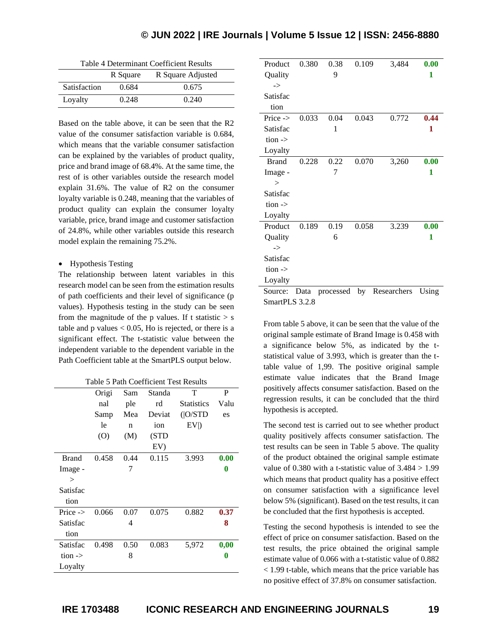# **© JUN 2022 | IRE Journals | Volume 5 Issue 12 | ISSN: 2456-8880**

| Table 4 Determinant Coefficient Results |  |
|-----------------------------------------|--|
|-----------------------------------------|--|

|              | R Square | R Square Adjusted |
|--------------|----------|-------------------|
| Satisfaction | 0.684    | 0.675             |
| Loyalty      | 0.248    | 0.240             |

Based on the table above, it can be seen that the R2 value of the consumer satisfaction variable is 0.684, which means that the variable consumer satisfaction can be explained by the variables of product quality, price and brand image of 68.4%. At the same time, the rest of is other variables outside the research model explain 31.6%. The value of R2 on the consumer loyalty variable is 0.248, meaning that the variables of product quality can explain the consumer loyalty variable, price, brand image and customer satisfaction of 24.8%, while other variables outside this research model explain the remaining 75.2%.

#### • Hypothesis Testing

The relationship between latent variables in this research model can be seen from the estimation results of path coefficients and their level of significance (p values). Hypothesis testing in the study can be seen from the magnitude of the p values. If t statistic  $> s$ table and  $p$  values  $< 0.05$ , Ho is rejected, or there is a significant effect. The t-statistic value between the independent variable to the dependent variable in the Path Coefficient table at the SmartPLS output below.

| Table 5 Path Coefficient Test Results |       |      |        |                   |      |
|---------------------------------------|-------|------|--------|-------------------|------|
|                                       | Origi | Sam  | Standa | т                 | P    |
|                                       | nal   | ple  | rd     | <b>Statistics</b> | Valu |
|                                       | Samp  | Mea  | Deviat | ( O/STD           | es   |
|                                       | 1e    | n    | ion    | $EV$ )            |      |
|                                       | (O)   | (M)  | (STD   |                   |      |
|                                       |       |      | EV     |                   |      |
| <b>Brand</b>                          | 0.458 | 0.44 | 0.115  | 3.993             | 0.00 |
| Image -                               |       | 7    |        |                   | 0    |
| $\gt$                                 |       |      |        |                   |      |
| Satisfac                              |       |      |        |                   |      |
| tion                                  |       |      |        |                   |      |
| Price $\rightarrow$                   | 0.066 | 0.07 | 0.075  | 0.882             | 0.37 |
| Satisfac                              |       | 4    |        |                   | 8    |
| tion                                  |       |      |        |                   |      |
| Satisfac                              | 0.498 | 0.50 | 0.083  | 5,972             | 0,00 |
| tion $\rightarrow$                    |       | 8    |        |                   | 0    |
| Loyalty                               |       |      |        |                   |      |

| Product            | 0.380 | 0.38      | 0.109 | 3,484       | 0.00  |
|--------------------|-------|-----------|-------|-------------|-------|
| Quality            |       | 9         |       |             | 1     |
| $\rightarrow$      |       |           |       |             |       |
| Satisfac           |       |           |       |             |       |
| tion               |       |           |       |             |       |
| Price ->           | 0.033 | 0.04      | 0.043 | 0.772       | 0.44  |
| Satisfac           |       | 1         |       |             | 1     |
| tion $\rightarrow$ |       |           |       |             |       |
| Loyalty            |       |           |       |             |       |
| <b>Brand</b>       | 0.228 | 0.22      | 0.070 | 3,260       | 0.00  |
| Image -            |       | 7         |       |             | 1     |
| $\geq$             |       |           |       |             |       |
| Satisfac           |       |           |       |             |       |
| tion $\rightarrow$ |       |           |       |             |       |
| Loyalty            |       |           |       |             |       |
| Product            | 0.189 | 0.19      | 0.058 | 3.239       | 0.00  |
| Quality            |       | 6         |       |             | 1     |
| $\rightarrow$      |       |           |       |             |       |
| Satisfac           |       |           |       |             |       |
| tion $\rightarrow$ |       |           |       |             |       |
| Loyalty            |       |           |       |             |       |
| Source:            | Data  | processed | by    | Researchers | Using |

SmartPLS 3.2.8

From table 5 above, it can be seen that the value of the original sample estimate of Brand Image is 0.458 with a significance below 5%, as indicated by the tstatistical value of 3.993, which is greater than the ttable value of 1,99. The positive original sample estimate value indicates that the Brand Image positively affects consumer satisfaction. Based on the regression results, it can be concluded that the third hypothesis is accepted.

The second test is carried out to see whether product quality positively affects consumer satisfaction. The test results can be seen in Table 5 above. The quality of the product obtained the original sample estimate value of  $0.380$  with a t-statistic value of  $3.484 > 1.99$ which means that product quality has a positive effect on consumer satisfaction with a significance level below 5% (significant). Based on the test results, it can be concluded that the first hypothesis is accepted.

Testing the second hypothesis is intended to see the effect of price on consumer satisfaction. Based on the test results, the price obtained the original sample estimate value of 0.066 with a t-statistic value of 0.882 < 1.99 t-table, which means that the price variable has no positive effect of 37.8% on consumer satisfaction.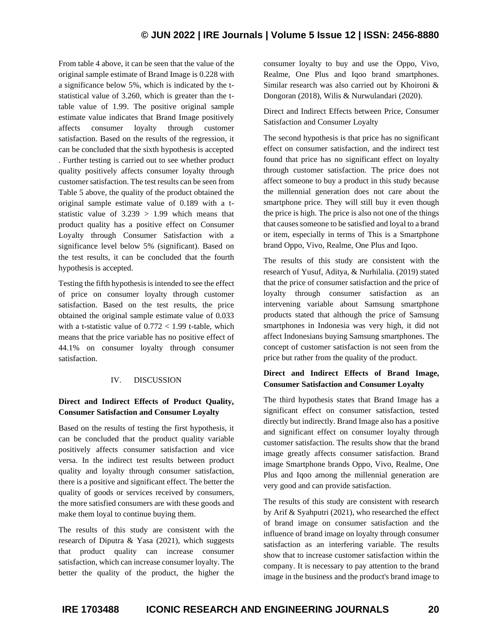From table 4 above, it can be seen that the value of the original sample estimate of Brand Image is 0.228 with a significance below 5%, which is indicated by the tstatistical value of 3.260, which is greater than the ttable value of 1.99. The positive original sample estimate value indicates that Brand Image positively affects consumer loyalty through customer satisfaction. Based on the results of the regression, it can be concluded that the sixth hypothesis is accepted . Further testing is carried out to see whether product quality positively affects consumer loyalty through customer satisfaction. The test results can be seen from Table 5 above, the quality of the product obtained the original sample estimate value of 0.189 with a tstatistic value of  $3.239 > 1.99$  which means that product quality has a positive effect on Consumer Loyalty through Consumer Satisfaction with a significance level below 5% (significant). Based on the test results, it can be concluded that the fourth hypothesis is accepted.

Testing the fifth hypothesis is intended to see the effect of price on consumer loyalty through customer satisfaction. Based on the test results, the price obtained the original sample estimate value of 0.033 with a t-statistic value of  $0.772 < 1.99$  t-table, which means that the price variable has no positive effect of 44.1% on consumer loyalty through consumer satisfaction.

## IV. DISCUSSION

# **Direct and Indirect Effects of Product Quality, Consumer Satisfaction and Consumer Loyalty**

Based on the results of testing the first hypothesis, it can be concluded that the product quality variable positively affects consumer satisfaction and vice versa. In the indirect test results between product quality and loyalty through consumer satisfaction, there is a positive and significant effect. The better the quality of goods or services received by consumers, the more satisfied consumers are with these goods and make them loyal to continue buying them.

The results of this study are consistent with the research of Diputra & Yasa (2021), which suggests that product quality can increase consumer satisfaction, which can increase consumer loyalty. The better the quality of the product, the higher the consumer loyalty to buy and use the Oppo, Vivo, Realme, One Plus and Iqoo brand smartphones. Similar research was also carried out by Khoironi & Dongoran (2018), Wilis & Nurwulandari (2020).

Direct and Indirect Effects between Price, Consumer Satisfaction and Consumer Loyalty

The second hypothesis is that price has no significant effect on consumer satisfaction, and the indirect test found that price has no significant effect on loyalty through customer satisfaction. The price does not affect someone to buy a product in this study because the millennial generation does not care about the smartphone price. They will still buy it even though the price is high. The price is also not one of the things that causes someone to be satisfied and loyal to a brand or item, especially in terms of This is a Smartphone brand Oppo, Vivo, Realme, One Plus and Iqoo.

The results of this study are consistent with the research of Yusuf, Aditya, & Nurhilalia. (2019) stated that the price of consumer satisfaction and the price of loyalty through consumer satisfaction as an intervening variable about Samsung smartphone products stated that although the price of Samsung smartphones in Indonesia was very high, it did not affect Indonesians buying Samsung smartphones. The concept of customer satisfaction is not seen from the price but rather from the quality of the product.

## **Direct and Indirect Effects of Brand Image, Consumer Satisfaction and Consumer Loyalty**

The third hypothesis states that Brand Image has a significant effect on consumer satisfaction, tested directly but indirectly. Brand Image also has a positive and significant effect on consumer loyalty through customer satisfaction. The results show that the brand image greatly affects consumer satisfaction. Brand image Smartphone brands Oppo, Vivo, Realme, One Plus and Iqoo among the millennial generation are very good and can provide satisfaction.

The results of this study are consistent with research by Arif & Syahputri (2021), who researched the effect of brand image on consumer satisfaction and the influence of brand image on loyalty through consumer satisfaction as an interfering variable. The results show that to increase customer satisfaction within the company. It is necessary to pay attention to the brand image in the business and the product's brand image to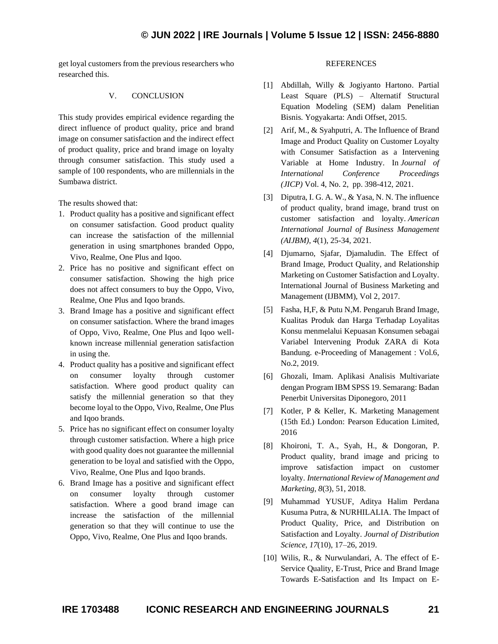get loyal customers from the previous researchers who researched this.

## V. CONCLUSION

This study provides empirical evidence regarding the direct influence of product quality, price and brand image on consumer satisfaction and the indirect effect of product quality, price and brand image on loyalty through consumer satisfaction. This study used a sample of 100 respondents, who are millennials in the Sumbawa district.

The results showed that:

- 1. Product quality has a positive and significant effect on consumer satisfaction. Good product quality can increase the satisfaction of the millennial generation in using smartphones branded Oppo, Vivo, Realme, One Plus and Iqoo.
- 2. Price has no positive and significant effect on consumer satisfaction. Showing the high price does not affect consumers to buy the Oppo, Vivo, Realme, One Plus and Iqoo brands.
- 3. Brand Image has a positive and significant effect on consumer satisfaction. Where the brand images of Oppo, Vivo, Realme, One Plus and Iqoo wellknown increase millennial generation satisfaction in using the.
- 4. Product quality has a positive and significant effect on consumer loyalty through customer satisfaction. Where good product quality can satisfy the millennial generation so that they become loyal to the Oppo, Vivo, Realme, One Plus and Iqoo brands.
- 5. Price has no significant effect on consumer loyalty through customer satisfaction. Where a high price with good quality does not guarantee the millennial generation to be loyal and satisfied with the Oppo, Vivo, Realme, One Plus and Iqoo brands.
- 6. Brand Image has a positive and significant effect on consumer loyalty through customer satisfaction. Where a good brand image can increase the satisfaction of the millennial generation so that they will continue to use the Oppo, Vivo, Realme, One Plus and Iqoo brands.

#### **REFERENCES**

- [1] Abdillah, Willy & Jogiyanto Hartono. Partial Least Square (PLS) – Alternatif Structural Equation Modeling (SEM) dalam Penelitian Bisnis. Yogyakarta: Andi Offset, 2015.
- [2] Arif, M., & Syahputri, A. The Influence of Brand Image and Product Quality on Customer Loyalty with Consumer Satisfaction as a Intervening Variable at Home Industry. In *Journal of International Conference Proceedings (JICP)* Vol. 4, No. 2, pp. 398-412, 2021.
- [3] Diputra, I. G. A. W., & Yasa, N. N. The influence of product quality, brand image, brand trust on customer satisfaction and loyalty. *American International Journal of Business Management (AIJBM)*, *4*(1), 25-34, 2021.
- [4] Djumarno, Sjafar, Djamaludin. The Effect of Brand Image, Product Quality, and Relationship Marketing on Customer Satisfaction and Loyalty. International Journal of Business Marketing and Management (IJBMM), Vol 2, 2017.
- [5] Fasha, H,F, & Putu N,M. Pengaruh Brand Image, Kualitas Produk dan Harga Terhadap Loyalitas Konsu menmelalui Kepuasan Konsumen sebagai Variabel Intervening Produk ZARA di Kota Bandung. e-Proceeding of Management : Vol.6, No.2, 2019.
- [6] Ghozali, Imam. Aplikasi Analisis Multivariate dengan Program IBM SPSS 19. Semarang: Badan Penerbit Universitas Diponegoro, 2011
- [7] Kotler, P & Keller, K. Marketing Management (15th Ed.) London: Pearson Education Limited, 2016
- [8] Khoironi, T. A., Syah, H., & Dongoran, P. Product quality, brand image and pricing to improve satisfaction impact on customer loyalty. *International Review of Management and Marketing*, *8*(3), 51, 2018.
- [9] Muhammad YUSUF, Aditya Halim Perdana Kusuma Putra, & NURHILALIA. The Impact of Product Quality, Price, and Distribution on Satisfaction and Loyalty. *Journal of Distribution Science*, *17*(10), 17–26, 2019.
- [10] Wilis, R., & Nurwulandari, A. The effect of E-Service Quality, E-Trust, Price and Brand Image Towards E-Satisfaction and Its Impact on E-